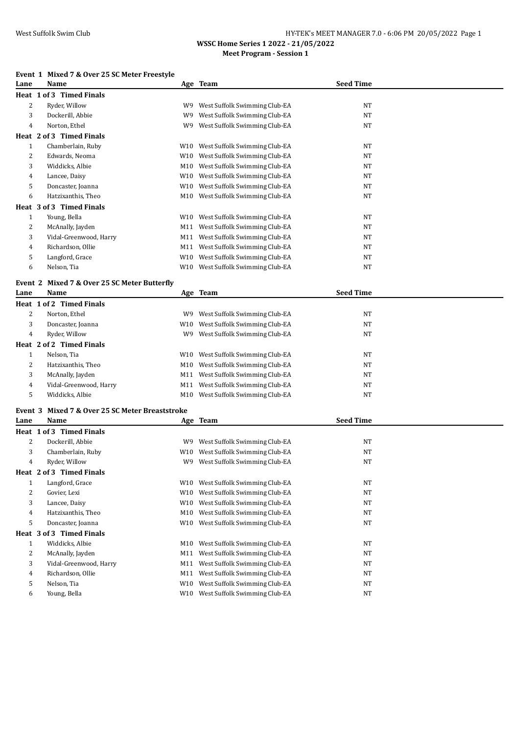# West Suffolk Swim Club **HY-TEK's MEET MANAGER 7.0 - 6:06 PM 20/05/2022** Page 1

**WSSC Home Series 1 2022 - 21/05/2022 Meet Program - Session 1**

#### **Event 1 Mixed 7 & Over 25 SC Meter Freestyle**

| Lane           | елене і мілец<br>7 & OVEL 23 SUMETEL FIERSLYIE<br>Name |     | Age Team                                                       | <b>Seed Time</b> |
|----------------|--------------------------------------------------------|-----|----------------------------------------------------------------|------------------|
|                | Heat 1 of 3 Timed Finals                               |     |                                                                |                  |
|                |                                                        |     |                                                                |                  |
| 2              | Ryder, Willow                                          | W9  | West Suffolk Swimming Club-EA                                  | NT               |
| 3              | Dockerill, Abbie                                       | W9  | West Suffolk Swimming Club-EA                                  | NT               |
| 4              | Norton, Ethel                                          | W9  | West Suffolk Swimming Club-EA                                  | NT               |
|                | Heat 2 of 3 Timed Finals                               |     |                                                                |                  |
| $\mathbf{1}$   | Chamberlain, Ruby                                      |     | W10 West Suffolk Swimming Club-EA                              | NT               |
| 2              | Edwards, Neoma                                         | W10 | West Suffolk Swimming Club-EA                                  | NT               |
| 3              | Widdicks, Albie                                        | M10 | West Suffolk Swimming Club-EA                                  | NT               |
| 4              | Lancee, Daisy                                          | W10 | West Suffolk Swimming Club-EA                                  | NT               |
| 5              | Doncaster, Joanna                                      | W10 | West Suffolk Swimming Club-EA                                  | NT               |
| 6              | Hatzixanthis, Theo                                     | M10 | West Suffolk Swimming Club-EA                                  | NT               |
|                | Heat 3 of 3 Timed Finals                               |     |                                                                |                  |
| $\mathbf{1}$   | Young, Bella                                           |     | W10 West Suffolk Swimming Club-EA                              | NT               |
| 2              | McAnally, Jayden                                       |     | M11 West Suffolk Swimming Club-EA                              | NT               |
| 3              | Vidal-Greenwood, Harry                                 |     | M11 West Suffolk Swimming Club-EA                              | NT               |
| 4              | Richardson, Ollie                                      |     | M11 West Suffolk Swimming Club-EA                              | NT               |
| 5              | Langford, Grace                                        | W10 | West Suffolk Swimming Club-EA                                  | NT               |
| 6              | Nelson, Tia                                            |     | W10 West Suffolk Swimming Club-EA                              | NT               |
| Event 2        | Mixed 7 & Over 25 SC Meter Butterfly                   |     |                                                                |                  |
| Lane           | Name                                                   |     | Age Team                                                       | <b>Seed Time</b> |
|                | Heat 1 of 2 Timed Finals                               |     |                                                                |                  |
|                |                                                        |     |                                                                |                  |
| 2              | Norton, Ethel                                          | W9. | West Suffolk Swimming Club-EA                                  | NT               |
| 3              | Doncaster, Joanna                                      | W10 | West Suffolk Swimming Club-EA                                  | NT               |
| 4              | Ryder, Willow                                          | W9  | West Suffolk Swimming Club-EA                                  | NT               |
|                | Heat 2 of 2 Timed Finals                               |     |                                                                |                  |
| $\mathbf{1}$   | Nelson, Tia                                            |     | W10 West Suffolk Swimming Club-EA                              | NT               |
| 2              | Hatzixanthis, Theo                                     | M10 | West Suffolk Swimming Club-EA                                  | NT               |
| 3              | McAnally, Jayden                                       | M11 | West Suffolk Swimming Club-EA                                  | NT               |
| $\overline{4}$ | Vidal-Greenwood, Harry                                 | M11 | West Suffolk Swimming Club-EA                                  | NT               |
| 5              | Widdicks, Albie                                        | M10 | West Suffolk Swimming Club-EA                                  | NT               |
| Event 3        | Mixed 7 & Over 25 SC Meter Breaststroke                |     |                                                                |                  |
| Lane           | Name                                                   |     | Age Team                                                       | <b>Seed Time</b> |
|                | Heat 1 of 3 Timed Finals                               |     |                                                                |                  |
| 2              | Dockerill, Abbie                                       | W9  | West Suffolk Swimming Club-EA                                  | NT               |
| 3              | Chamberlain, Ruby                                      | W10 | West Suffolk Swimming Club-EA                                  | NT               |
| 4              | Ryder, Willow                                          |     | W9 West Suffolk Swimming Club-EA                               | NT               |
|                | Heat 2 of 3 Timed Finals                               |     |                                                                |                  |
| $\mathbf{1}$   | Langford, Grace                                        | W10 | West Suffolk Swimming Club-EA                                  | NT               |
| $\overline{c}$ | Govier, Lexi                                           |     |                                                                |                  |
|                |                                                        | W10 | West Suffolk Swimming Club-EA<br>West Suffolk Swimming Club-EA | NT<br>NT         |
| 3              | Lancee, Daisy                                          | W10 |                                                                |                  |
| 4              | Hatzixanthis, Theo                                     | M10 | West Suffolk Swimming Club-EA                                  | NT               |
| 5              | Doncaster, Joanna                                      | W10 | West Suffolk Swimming Club-EA                                  | NT               |
|                | Heat 3 of 3 Timed Finals                               |     |                                                                |                  |
| $\mathbf{1}$   | Widdicks, Albie                                        | M10 | West Suffolk Swimming Club-EA                                  | NT               |
| 2              | McAnally, Jayden                                       | M11 | West Suffolk Swimming Club-EA                                  | NT               |
| 3              | Vidal-Greenwood, Harry                                 | M11 | West Suffolk Swimming Club-EA                                  | NT               |
| 4              | Richardson, Ollie                                      | M11 | West Suffolk Swimming Club-EA                                  | NT               |
| 5              | Nelson, Tia                                            | W10 | West Suffolk Swimming Club-EA                                  | $\rm{NT}$        |
| 6              | Young, Bella                                           | W10 | West Suffolk Swimming Club-EA                                  | NT               |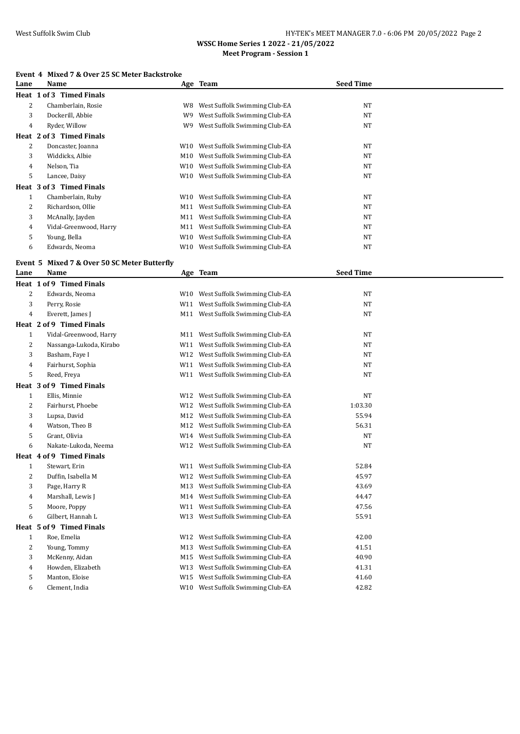## West Suffolk Swim Club **HY-TEK's MEET MANAGER 7.0 - 6:06 PM 20/05/2022** Page 2

**WSSC Home Series 1 2022 - 21/05/2022 Meet Program - Session 1**

#### **Event 4 Mixed 7 & Over 25 SC Meter Backstroke**

| Lane         | Name                                 |     | Age Team                          | <b>Seed Time</b> |
|--------------|--------------------------------------|-----|-----------------------------------|------------------|
| Heat 1       | of 3 Timed Finals                    |     |                                   |                  |
| 2            | Chamberlain, Rosie                   | W8  | West Suffolk Swimming Club-EA     | NT               |
| 3            | Dockerill, Abbie                     | W9  | West Suffolk Swimming Club-EA     | NT               |
| 4            | Ryder, Willow                        | W9  | West Suffolk Swimming Club-EA     | NT               |
|              | Heat 2 of 3 Timed Finals             |     |                                   |                  |
| 2            | Doncaster, Joanna                    |     | W10 West Suffolk Swimming Club-EA | NT               |
| 3            | Widdicks, Albie                      |     | M10 West Suffolk Swimming Club-EA | NT               |
| 4            | Nelson, Tia                          |     | W10 West Suffolk Swimming Club-EA | NT               |
| 5            | Lancee, Daisy                        |     | W10 West Suffolk Swimming Club-EA | NT               |
|              | Heat 3 of 3 Timed Finals             |     |                                   |                  |
| $\mathbf{1}$ | Chamberlain, Ruby                    |     | W10 West Suffolk Swimming Club-EA | NT               |
| 2            | Richardson, Ollie                    | M11 | West Suffolk Swimming Club-EA     | NT               |
| 3            | McAnally, Jayden                     |     | M11 West Suffolk Swimming Club-EA | NT               |
| 4            | Vidal-Greenwood, Harry               |     | M11 West Suffolk Swimming Club-EA | NT               |
| 5            | Young, Bella                         |     | W10 West Suffolk Swimming Club-EA | NT               |
| 6            | Edwards, Neoma                       |     | W10 West Suffolk Swimming Club-EA | NT               |
|              |                                      |     |                                   |                  |
| Event 5      | Mixed 7 & Over 50 SC Meter Butterfly |     |                                   |                  |
| Lane         | Name                                 |     | Age Team                          | <b>Seed Time</b> |
|              | Heat 1 of 9 Timed Finals             |     |                                   |                  |
| 2            | Edwards, Neoma                       |     | W10 West Suffolk Swimming Club-EA | NT               |
| 3            | Perry, Rosie                         |     | W11 West Suffolk Swimming Club-EA | NT               |
| 4            | Everett, James J                     |     | M11 West Suffolk Swimming Club-EA | NT               |
|              | Heat 2 of 9 Timed Finals             |     |                                   |                  |
| $\mathbf{1}$ | Vidal-Greenwood, Harry               |     | M11 West Suffolk Swimming Club-EA | NT               |
| 2            | Nassanga-Lukoda, Kirabo              |     | W11 West Suffolk Swimming Club-EA | $\rm{NT}$        |
| 3            | Basham, Faye I                       |     | W12 West Suffolk Swimming Club-EA | NT               |
| 4            | Fairhurst, Sophia                    |     | W11 West Suffolk Swimming Club-EA | NT               |
| 5            | Reed, Freya                          |     | W11 West Suffolk Swimming Club-EA | NT               |
|              | Heat 3 of 9 Timed Finals             |     |                                   |                  |
| $\mathbf{1}$ | Ellis, Minnie                        |     | W12 West Suffolk Swimming Club-EA | <b>NT</b>        |
| 2            | Fairhurst, Phoebe                    |     | W12 West Suffolk Swimming Club-EA | 1:03.30          |
| 3            | Lupsa, David                         |     | M12 West Suffolk Swimming Club-EA | 55.94            |
| 4            | Watson, Theo B                       |     | M12 West Suffolk Swimming Club-EA | 56.31            |
| 5            | Grant, Olivia                        |     | W14 West Suffolk Swimming Club-EA | NT               |
| 6            | Nakate-Lukoda, Neema                 |     | W12 West Suffolk Swimming Club-EA | NT               |
|              | Heat 4 of 9 Timed Finals             |     |                                   |                  |
| $\mathbf{1}$ | Stewart, Erin                        |     | W11 West Suffolk Swimming Club-EA | 52.84            |
| 2            | Duffin, Isabella M                   |     | W12 West Suffolk Swimming Club-EA | 45.97            |
| 3            | Page, Harry R                        | M13 | West Suffolk Swimming Club-EA     | 43.69            |
| 4            | Marshall, Lewis J                    |     | M14 West Suffolk Swimming Club-EA | 44.47            |
| 5            | Moore, Poppy                         | W11 | West Suffolk Swimming Club-EA     | 47.56            |
| 6            | Gilbert, Hannah L                    | W13 | West Suffolk Swimming Club-EA     | 55.91            |
|              | Heat 5 of 9 Timed Finals             |     |                                   |                  |
| $\mathbf{1}$ | Roe, Emelia                          | W12 | West Suffolk Swimming Club-EA     | 42.00            |
| 2            | Young, Tommy                         | M13 | West Suffolk Swimming Club-EA     | 41.51            |
| 3            | McKenny, Aidan                       | M15 | West Suffolk Swimming Club-EA     | 40.90            |
| 4            | Howden, Elizabeth                    | W13 | West Suffolk Swimming Club-EA     | 41.31            |
| 5            | Manton, Eloise                       |     | W15 West Suffolk Swimming Club-EA | 41.60            |
| 6            | Clement, India                       |     | W10 West Suffolk Swimming Club-EA | 42.82            |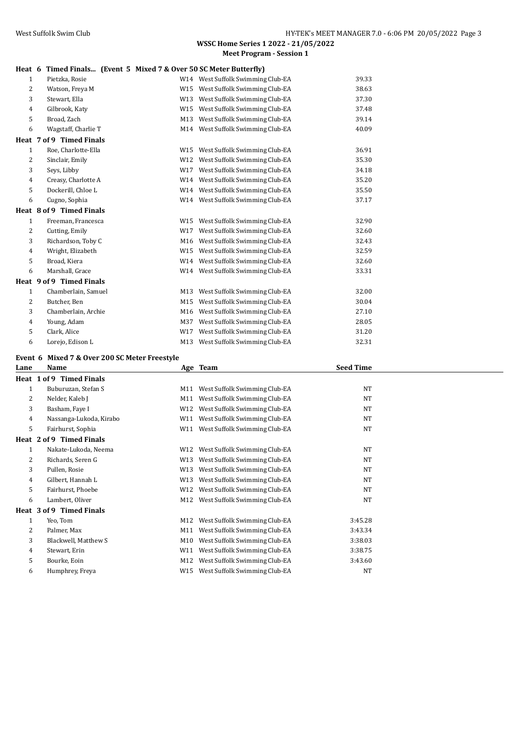#### **Heat 6 Timed Finals... (Event 5 Mixed 7 & Over 50 SC Meter Butterfly)**

|                | $\frac{1}{2}$ real of the contraction of the contract $\frac{1}{2}$ of $\frac{1}{2}$ of $\frac{1}{2}$ of $\frac{1}{2}$ of $\frac{1}{2}$ of $\frac{1}{2}$ of $\frac{1}{2}$ of $\frac{1}{2}$ of $\frac{1}{2}$ of $\frac{1}{2}$ of $\frac{1}{2}$ of $\frac{1}{2}$ of $\frac{1}{2}$ of $\$ |     |                                   |       |
|----------------|----------------------------------------------------------------------------------------------------------------------------------------------------------------------------------------------------------------------------------------------------------------------------------------|-----|-----------------------------------|-------|
| $\mathbf{1}$   | Pietzka, Rosie                                                                                                                                                                                                                                                                         |     | W14 West Suffolk Swimming Club-EA | 39.33 |
| 2              | Watson, Freya M                                                                                                                                                                                                                                                                        |     | W15 West Suffolk Swimming Club-EA | 38.63 |
| 3              | Stewart, Ella                                                                                                                                                                                                                                                                          |     | W13 West Suffolk Swimming Club-EA | 37.30 |
| $\overline{4}$ | Gilbrook, Katy                                                                                                                                                                                                                                                                         |     | W15 West Suffolk Swimming Club-EA | 37.48 |
| 5              | Broad, Zach                                                                                                                                                                                                                                                                            |     | M13 West Suffolk Swimming Club-EA | 39.14 |
| 6              | Wagstaff, Charlie T                                                                                                                                                                                                                                                                    |     | M14 West Suffolk Swimming Club-EA | 40.09 |
|                | Heat 7 of 9 Timed Finals                                                                                                                                                                                                                                                               |     |                                   |       |
| $\mathbf{1}$   | Roe, Charlotte-Ella                                                                                                                                                                                                                                                                    |     | W15 West Suffolk Swimming Club-EA | 36.91 |
| 2              | Sinclair, Emily                                                                                                                                                                                                                                                                        |     | W12 West Suffolk Swimming Club-EA | 35.30 |
| 3              | Seys, Libby                                                                                                                                                                                                                                                                            |     | W17 West Suffolk Swimming Club-EA | 34.18 |
| $\overline{4}$ | Creasy, Charlotte A                                                                                                                                                                                                                                                                    |     | W14 West Suffolk Swimming Club-EA | 35.20 |
| 5              | Dockerill, Chloe L                                                                                                                                                                                                                                                                     |     | W14 West Suffolk Swimming Club-EA | 35.50 |
| 6              | Cugno, Sophia                                                                                                                                                                                                                                                                          |     | W14 West Suffolk Swimming Club-EA | 37.17 |
|                | Heat 8 of 9 Timed Finals                                                                                                                                                                                                                                                               |     |                                   |       |
| $\mathbf{1}$   | Freeman, Francesca                                                                                                                                                                                                                                                                     |     | W15 West Suffolk Swimming Club-EA | 32.90 |
| 2              | Cutting, Emily                                                                                                                                                                                                                                                                         | W17 | West Suffolk Swimming Club-EA     | 32.60 |
| 3              | Richardson, Toby C                                                                                                                                                                                                                                                                     |     | M16 West Suffolk Swimming Club-EA | 32.43 |
| $\overline{4}$ | Wright, Elizabeth                                                                                                                                                                                                                                                                      |     | W15 West Suffolk Swimming Club-EA | 32.59 |
| 5              | Broad, Kiera                                                                                                                                                                                                                                                                           |     | W14 West Suffolk Swimming Club-EA | 32.60 |
| 6              | Marshall, Grace                                                                                                                                                                                                                                                                        |     | W14 West Suffolk Swimming Club-EA | 33.31 |
|                | Heat 9 of 9 Timed Finals                                                                                                                                                                                                                                                               |     |                                   |       |
| $\mathbf{1}$   | Chamberlain, Samuel                                                                                                                                                                                                                                                                    |     | M13 West Suffolk Swimming Club-EA | 32.00 |
| 2              | Butcher, Ben                                                                                                                                                                                                                                                                           |     | M15 West Suffolk Swimming Club-EA | 30.04 |
| 3              | Chamberlain, Archie                                                                                                                                                                                                                                                                    |     | M16 West Suffolk Swimming Club-EA | 27.10 |
| $\overline{4}$ | Young, Adam                                                                                                                                                                                                                                                                            |     | M37 West Suffolk Swimming Club-EA | 28.05 |
| 5              | Clark, Alice                                                                                                                                                                                                                                                                           | W17 | West Suffolk Swimming Club-EA     | 31.20 |
| 6              | Lorejo, Edison L                                                                                                                                                                                                                                                                       |     | M13 West Suffolk Swimming Club-EA | 32.31 |

#### **Event 6 Mixed 7 & Over 200 SC Meter Freestyle**

| Lane | Name                     |     | Age Team                      | <b>Seed Time</b> |  |
|------|--------------------------|-----|-------------------------------|------------------|--|
|      | Heat 1 of 9 Timed Finals |     |                               |                  |  |
| 1    | Buburuzan, Stefan S      | M11 | West Suffolk Swimming Club-EA | NT               |  |
| 2    | Nelder, Kaleb J          | M11 | West Suffolk Swimming Club-EA | <b>NT</b>        |  |
| 3    | Basham, Faye I           | W12 | West Suffolk Swimming Club-EA | <b>NT</b>        |  |
| 4    | Nassanga-Lukoda, Kirabo  | W11 | West Suffolk Swimming Club-EA | <b>NT</b>        |  |
| 5    | Fairhurst, Sophia        | W11 | West Suffolk Swimming Club-EA | <b>NT</b>        |  |
|      | Heat 2 of 9 Timed Finals |     |                               |                  |  |
| 1    | Nakate-Lukoda, Neema     | W12 | West Suffolk Swimming Club-EA | NT               |  |
| 2    | Richards, Seren G        | W13 | West Suffolk Swimming Club-EA | <b>NT</b>        |  |
| 3    | Pullen, Rosie            | W13 | West Suffolk Swimming Club-EA | <b>NT</b>        |  |
| 4    | Gilbert, Hannah L        | W13 | West Suffolk Swimming Club-EA | NT               |  |
| 5    | Fairhurst, Phoebe        | W12 | West Suffolk Swimming Club-EA | <b>NT</b>        |  |
| 6    | Lambert, Oliver          | M12 | West Suffolk Swimming Club-EA | <b>NT</b>        |  |
|      | Heat 3 of 9 Timed Finals |     |                               |                  |  |
| 1    | Yeo, Tom                 | M12 | West Suffolk Swimming Club-EA | 3:45.28          |  |
| 2    | Palmer, Max              | M11 | West Suffolk Swimming Club-EA | 3:43.34          |  |
| 3    | Blackwell, Matthew S     | M10 | West Suffolk Swimming Club-EA | 3:38.03          |  |
| 4    | Stewart, Erin            | W11 | West Suffolk Swimming Club-EA | 3:38.75          |  |
| 5    | Bourke, Eoin             | M12 | West Suffolk Swimming Club-EA | 3:43.60          |  |
| 6    | Humphrey, Freya          | W15 | West Suffolk Swimming Club-EA | <b>NT</b>        |  |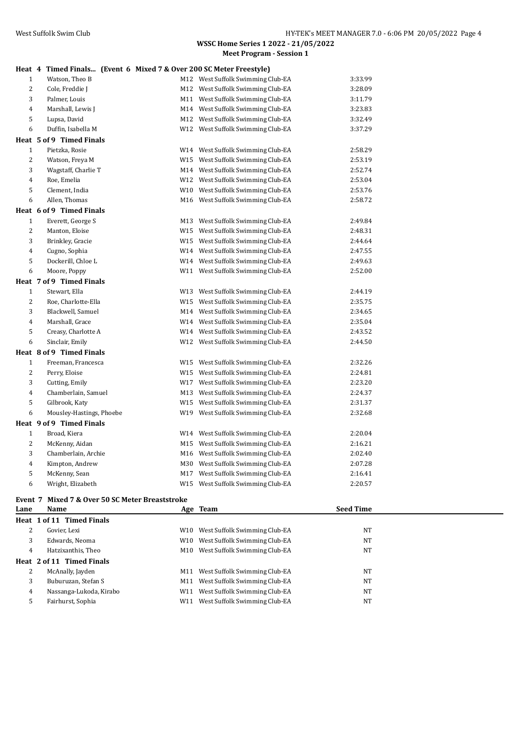|  |  | Heat 4 Timed Finals (Event 6 Mixed 7 & Over 200 SC Meter Freestyle) |
|--|--|---------------------------------------------------------------------|

| 1              | Watson, Theo B           | M12 West Suffolk Swimming Club-EA | 3:33.99 |
|----------------|--------------------------|-----------------------------------|---------|
| 2              | Cole, Freddie J          | M12 West Suffolk Swimming Club-EA | 3:28.09 |
| 3              | Palmer, Louis            | M11 West Suffolk Swimming Club-EA | 3:11.79 |
| $\overline{4}$ | Marshall, Lewis J        | M14 West Suffolk Swimming Club-EA | 3:23.83 |
| 5              | Lupsa, David             | M12 West Suffolk Swimming Club-EA | 3:32.49 |
| 6              | Duffin, Isabella M       | W12 West Suffolk Swimming Club-EA | 3:37.29 |
|                | Heat 5 of 9 Timed Finals |                                   |         |
| $\mathbf{1}$   | Pietzka, Rosie           | W14 West Suffolk Swimming Club-EA | 2:58.29 |
| $\overline{2}$ | Watson, Freya M          | W15 West Suffolk Swimming Club-EA | 2:53.19 |
| 3              | Wagstaff, Charlie T      | M14 West Suffolk Swimming Club-EA | 2:52.74 |
| $\overline{4}$ | Roe, Emelia              | W12 West Suffolk Swimming Club-EA | 2:53.04 |
| 5              | Clement, India           | W10 West Suffolk Swimming Club-EA | 2:53.76 |
| 6              | Allen, Thomas            | M16 West Suffolk Swimming Club-EA | 2:58.72 |
|                | Heat 6 of 9 Timed Finals |                                   |         |
| $\mathbf{1}$   | Everett, George S        | M13 West Suffolk Swimming Club-EA | 2:49.84 |
| $\overline{c}$ | Manton, Eloise           | W15 West Suffolk Swimming Club-EA | 2:48.31 |
| 3              | Brinkley, Gracie         | W15 West Suffolk Swimming Club-EA | 2:44.64 |
| $\overline{4}$ | Cugno, Sophia            | W14 West Suffolk Swimming Club-EA | 2:47.55 |
| 5              | Dockerill, Chloe L       | W14 West Suffolk Swimming Club-EA | 2:49.63 |
| 6              | Moore, Poppy             | W11 West Suffolk Swimming Club-EA | 2:52.00 |
|                | Heat 7 of 9 Timed Finals |                                   |         |
| $\mathbf{1}$   | Stewart, Ella            | W13 West Suffolk Swimming Club-EA | 2:44.19 |
| $\overline{c}$ | Roe, Charlotte-Ella      | W15 West Suffolk Swimming Club-EA | 2:35.75 |
| 3              | Blackwell, Samuel        | M14 West Suffolk Swimming Club-EA | 2:34.65 |
| $\overline{4}$ | Marshall, Grace          | W14 West Suffolk Swimming Club-EA | 2:35.04 |
| 5              | Creasy, Charlotte A      | W14 West Suffolk Swimming Club-EA | 2:43.52 |
| 6              | Sinclair, Emily          | W12 West Suffolk Swimming Club-EA | 2:44.50 |
|                | Heat 8 of 9 Timed Finals |                                   |         |
| $\mathbf{1}$   | Freeman, Francesca       | W15 West Suffolk Swimming Club-EA | 2:32.26 |
| $\overline{c}$ | Perry, Eloise            | W15 West Suffolk Swimming Club-EA | 2:24.81 |
| 3              | Cutting, Emily           | W17 West Suffolk Swimming Club-EA | 2:23.20 |
| $\overline{4}$ | Chamberlain, Samuel      | M13 West Suffolk Swimming Club-EA | 2:24.37 |
| 5              | Gilbrook, Katy           | W15 West Suffolk Swimming Club-EA | 2:31.37 |
| 6              | Mousley-Hastings, Phoebe | W19 West Suffolk Swimming Club-EA | 2:32.68 |
|                | Heat 9 of 9 Timed Finals |                                   |         |
| $\mathbf{1}$   | Broad, Kiera             | W14 West Suffolk Swimming Club-EA | 2:20.04 |
| 2              | McKenny, Aidan           | M15 West Suffolk Swimming Club-EA | 2:16.21 |
| $\sqrt{3}$     | Chamberlain, Archie      | M16 West Suffolk Swimming Club-EA | 2:02.40 |
| $\overline{4}$ | Kimpton, Andrew          | M30 West Suffolk Swimming Club-EA | 2:07.28 |
| 5              | McKenny, Sean            | M17 West Suffolk Swimming Club-EA | 2:16.41 |
| 6              | Wright, Elizabeth        | W15 West Suffolk Swimming Club-EA | 2:20.57 |
|                |                          |                                   |         |

## **Event 7 Mixed 7 & Over 50 SC Meter Breaststroke**

| Lane | <b>Name</b>               |     | Age Team                      | <b>Seed Time</b> |
|------|---------------------------|-----|-------------------------------|------------------|
|      | Heat 1 of 11 Timed Finals |     |                               |                  |
| 2    | Govier, Lexi              | W10 | West Suffolk Swimming Club-EA | NT               |
| 3    | Edwards, Neoma            | W10 | West Suffolk Swimming Club-EA | NT               |
| 4    | Hatzixanthis, Theo        | M10 | West Suffolk Swimming Club-EA | NT               |
|      | Heat 2 of 11 Timed Finals |     |                               |                  |
| 2    | McAnally, Jayden          | M11 | West Suffolk Swimming Club-EA | NT               |
| 3    | Buburuzan, Stefan S       | M11 | West Suffolk Swimming Club-EA | NT               |
| 4    | Nassanga-Lukoda, Kirabo   | W11 | West Suffolk Swimming Club-EA | NT               |
|      | Fairhurst, Sophia         | W11 | West Suffolk Swimming Club-EA | NT               |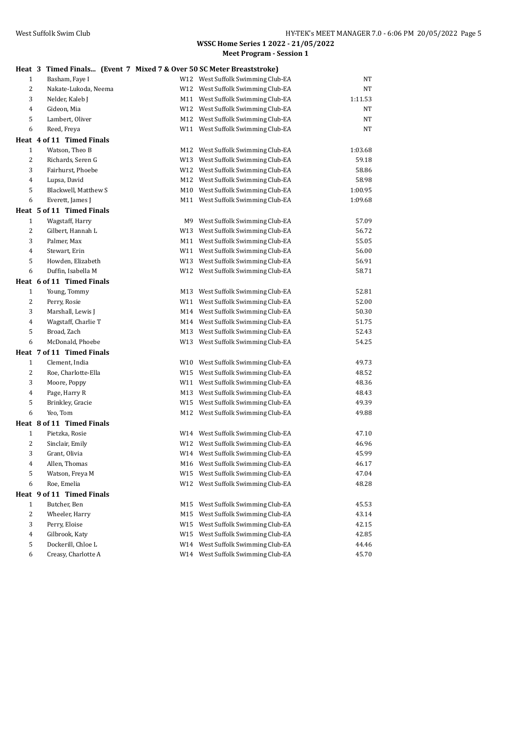|                |                           |     | Heat 3 Timed Finals (Event 7 Mixed 7 & Over 50 SC Meter Breaststroke) |         |
|----------------|---------------------------|-----|-----------------------------------------------------------------------|---------|
| $\mathbf{1}$   | Basham, Faye I            |     | W12 West Suffolk Swimming Club-EA                                     | NT      |
| 2              | Nakate-Lukoda, Neema      |     | W12 West Suffolk Swimming Club-EA                                     | NT      |
| 3              | Nelder, Kaleb J           |     | M11 West Suffolk Swimming Club-EA                                     | 1:11.53 |
| $\overline{4}$ | Gideon, Mia               |     | W12 West Suffolk Swimming Club-EA                                     | NT      |
| 5              | Lambert, Oliver           |     | M12 West Suffolk Swimming Club-EA                                     | NT      |
| 6              | Reed, Freya               |     | W11 West Suffolk Swimming Club-EA                                     | NT      |
|                | Heat 4 of 11 Timed Finals |     |                                                                       |         |
| $\mathbf{1}$   | Watson, Theo B            |     | M12 West Suffolk Swimming Club-EA                                     | 1:03.68 |
| $\overline{2}$ | Richards, Seren G         |     | W13 West Suffolk Swimming Club-EA                                     | 59.18   |
| 3              | Fairhurst, Phoebe         |     | W12 West Suffolk Swimming Club-EA                                     | 58.86   |
| $\overline{4}$ | Lupsa, David              |     | M12 West Suffolk Swimming Club-EA                                     | 58.98   |
| 5              | Blackwell, Matthew S      |     | M10 West Suffolk Swimming Club-EA                                     | 1:00.95 |
| 6              | Everett, James J          |     | M11 West Suffolk Swimming Club-EA                                     | 1:09.68 |
|                | Heat 5 of 11 Timed Finals |     |                                                                       |         |
| $\mathbf{1}$   | Wagstaff, Harry           |     | M9 West Suffolk Swimming Club-EA                                      | 57.09   |
| 2              | Gilbert, Hannah L         |     | W13 West Suffolk Swimming Club-EA                                     | 56.72   |
| 3              | Palmer, Max               |     | M11 West Suffolk Swimming Club-EA                                     | 55.05   |
| $\overline{4}$ | Stewart, Erin             |     | W11 West Suffolk Swimming Club-EA                                     | 56.00   |
| 5              | Howden, Elizabeth         |     | W13 West Suffolk Swimming Club-EA                                     | 56.91   |
| 6              | Duffin, Isabella M        |     | W12 West Suffolk Swimming Club-EA                                     | 58.71   |
|                | Heat 6 of 11 Timed Finals |     |                                                                       |         |
| $\mathbf{1}$   | Young, Tommy              |     | M13 West Suffolk Swimming Club-EA                                     | 52.81   |
| $\overline{c}$ | Perry, Rosie              |     | W11 West Suffolk Swimming Club-EA                                     | 52.00   |
| 3              | Marshall, Lewis J         |     | M14 West Suffolk Swimming Club-EA                                     | 50.30   |
| $\overline{4}$ | Wagstaff, Charlie T       |     | M14 West Suffolk Swimming Club-EA                                     | 51.75   |
| 5              | Broad, Zach               |     | M13 West Suffolk Swimming Club-EA                                     | 52.43   |
| 6              | McDonald, Phoebe          |     | W13 West Suffolk Swimming Club-EA                                     | 54.25   |
|                | Heat 7 of 11 Timed Finals |     |                                                                       |         |
| $\mathbf{1}$   | Clement, India            |     | W10 West Suffolk Swimming Club-EA                                     | 49.73   |
| 2              | Roe, Charlotte-Ella       |     | W15 West Suffolk Swimming Club-EA                                     | 48.52   |
| 3              | Moore, Poppy              |     | W11 West Suffolk Swimming Club-EA                                     | 48.36   |
| 4              | Page, Harry R             |     | M13 West Suffolk Swimming Club-EA                                     | 48.43   |
| 5              | Brinkley, Gracie          |     | W15 West Suffolk Swimming Club-EA                                     | 49.39   |
| 6              | Yeo, Tom                  |     | M12 West Suffolk Swimming Club-EA                                     | 49.88   |
|                | Heat 8 of 11 Timed Finals |     |                                                                       |         |
| $\mathbf{1}$   | Pietzka, Rosie            |     | W14 West Suffolk Swimming Club-EA                                     | 47.10   |
| $\overline{c}$ | Sinclair, Emily           |     | W12 West Suffolk Swimming Club-EA                                     | 46.96   |
| 3              | Grant, Olivia             |     | W14 West Suffolk Swimming Club-EA                                     | 45.99   |
| 4              | Allen, Thomas             |     | M16 West Suffolk Swimming Club-EA                                     | 46.17   |
| 5              | Watson, Freya M           |     | W15 West Suffolk Swimming Club-EA                                     | 47.04   |
| 6              | Roe, Emelia               |     | W12 West Suffolk Swimming Club-EA                                     | 48.28   |
|                | Heat 9 of 11 Timed Finals |     |                                                                       |         |
| $\mathbf{1}$   | Butcher, Ben              | M15 | West Suffolk Swimming Club-EA                                         | 45.53   |
| $\overline{c}$ | Wheeler, Harry            | M15 | West Suffolk Swimming Club-EA                                         | 43.14   |
| 3              | Perry, Eloise             |     | W15 West Suffolk Swimming Club-EA                                     | 42.15   |
| 4              | Gilbrook, Katy            |     | W15 West Suffolk Swimming Club-EA                                     | 42.85   |
| 5              | Dockerill, Chloe L        |     | W14 West Suffolk Swimming Club-EA                                     | 44.46   |
| 6              | Creasy, Charlotte A       |     | W14 West Suffolk Swimming Club-EA                                     | 45.70   |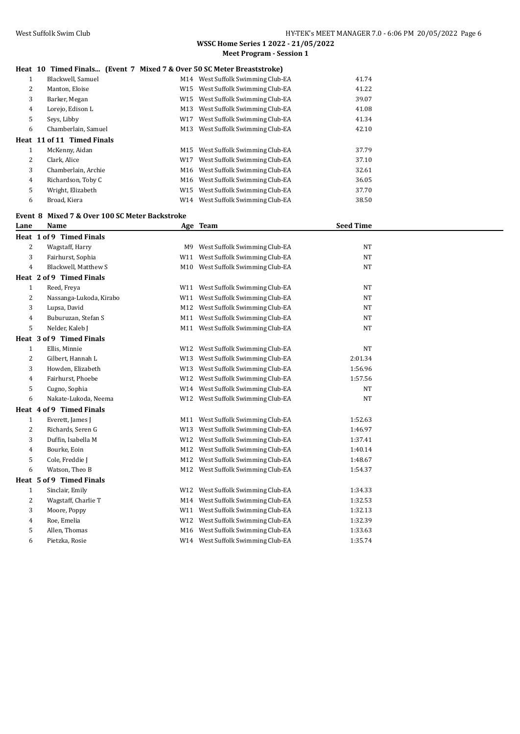**WSSC Home Series 1 2022 - 21/05/2022**

|   |                                                                        |     | <b>Meet Program - Session 1</b>               |       |
|---|------------------------------------------------------------------------|-----|-----------------------------------------------|-------|
|   | Heat 10 Timed Finals (Event 7 Mixed 7 & Over 50 SC Meter Breaststroke) |     |                                               |       |
| 1 | Blackwell, Samuel                                                      |     | M14 West Suffolk Swimming Club-EA             | 41.74 |
| 2 | Manton, Eloise                                                         |     | W15 West Suffolk Swimming Club-EA             | 41.22 |
| 3 | Barker, Megan                                                          | W15 | West Suffolk Swimming Club-EA                 | 39.07 |
| 4 | Lorejo, Edison L                                                       | M13 | West Suffolk Swimming Club-EA                 | 41.08 |
| 5 | Seys, Libby                                                            | W17 | West Suffolk Swimming Club-EA                 | 41.34 |
| 6 | Chamberlain, Samuel                                                    | M13 | West Suffolk Swimming Club-EA                 | 42.10 |
|   | Heat 11 of 11 Timed Finals                                             |     |                                               |       |
| 1 | McKenny, Aidan                                                         | M15 | West Suffolk Swimming Club-EA                 | 37.79 |
| 2 | Clark, Alice                                                           | W17 | West Suffolk Swimming Club-EA                 | 37.10 |
| 3 | Chamberlain, Archie                                                    | M16 | West Suffolk Swimming Club-EA                 | 32.61 |
| 4 | Richardson, Toby C                                                     |     | M <sub>16</sub> West Suffolk Swimming Club-EA | 36.05 |
| 5 | Wright, Elizabeth                                                      |     | W15 West Suffolk Swimming Club-EA             | 37.70 |
| 6 | Broad, Kiera                                                           | W14 | West Suffolk Swimming Club-EA                 | 38.50 |
|   |                                                                        |     |                                               |       |

## **Event 8 Mixed 7 & Over 100 SC Meter Backstroke**

| Lane         | Name                     |     | Age Team                          | <b>Seed Time</b> |  |
|--------------|--------------------------|-----|-----------------------------------|------------------|--|
|              | Heat 1 of 9 Timed Finals |     |                                   |                  |  |
| 2            | Wagstaff, Harry          | M9  | West Suffolk Swimming Club-EA     | <b>NT</b>        |  |
| 3            | Fairhurst, Sophia        | W11 | West Suffolk Swimming Club-EA     | <b>NT</b>        |  |
| 4            | Blackwell, Matthew S     |     | M10 West Suffolk Swimming Club-EA | <b>NT</b>        |  |
|              | Heat 2 of 9 Timed Finals |     |                                   |                  |  |
| 1            | Reed, Freya              | W11 | West Suffolk Swimming Club-EA     | <b>NT</b>        |  |
| 2            | Nassanga-Lukoda, Kirabo  | W11 | West Suffolk Swimming Club-EA     | <b>NT</b>        |  |
| 3            | Lupsa, David             | M12 | West Suffolk Swimming Club-EA     | <b>NT</b>        |  |
| 4            | Buburuzan, Stefan S      | M11 | West Suffolk Swimming Club-EA     | <b>NT</b>        |  |
| 5            | Nelder, Kaleb J          |     | M11 West Suffolk Swimming Club-EA | <b>NT</b>        |  |
|              | Heat 3 of 9 Timed Finals |     |                                   |                  |  |
| 1            | Ellis, Minnie            | W12 | West Suffolk Swimming Club-EA     | <b>NT</b>        |  |
| 2            | Gilbert, Hannah L        | W13 | West Suffolk Swimming Club-EA     | 2:01.34          |  |
| 3            | Howden, Elizabeth        | W13 | West Suffolk Swimming Club-EA     | 1:56.96          |  |
| 4            | Fairhurst, Phoebe        | W12 | West Suffolk Swimming Club-EA     | 1:57.56          |  |
| 5            | Cugno, Sophia            |     | W14 West Suffolk Swimming Club-EA | <b>NT</b>        |  |
| 6            | Nakate-Lukoda, Neema     |     | W12 West Suffolk Swimming Club-EA | <b>NT</b>        |  |
|              | Heat 4 of 9 Timed Finals |     |                                   |                  |  |
| $\mathbf{1}$ | Everett, James J         |     | M11 West Suffolk Swimming Club-EA | 1:52.63          |  |
| 2            | Richards, Seren G        | W13 | West Suffolk Swimming Club-EA     | 1:46.97          |  |
| 3            | Duffin, Isabella M       | W12 | West Suffolk Swimming Club-EA     | 1:37.41          |  |
| 4            | Bourke, Eoin             | M12 | West Suffolk Swimming Club-EA     | 1:40.14          |  |
| 5            | Cole, Freddie J          | M12 | West Suffolk Swimming Club-EA     | 1:48.67          |  |
| 6            | Watson, Theo B           |     | M12 West Suffolk Swimming Club-EA | 1:54.37          |  |
|              | Heat 5 of 9 Timed Finals |     |                                   |                  |  |
| $\mathbf{1}$ | Sinclair, Emily          | W12 | West Suffolk Swimming Club-EA     | 1:34.33          |  |
| 2            | Wagstaff, Charlie T      | M14 | West Suffolk Swimming Club-EA     | 1:32.53          |  |
| 3            | Moore, Poppy             | W11 | West Suffolk Swimming Club-EA     | 1:32.13          |  |
| 4            | Roe, Emelia              | W12 | West Suffolk Swimming Club-EA     | 1:32.39          |  |
| 5            | Allen, Thomas            | M16 | West Suffolk Swimming Club-EA     | 1:33.63          |  |
| 6            | Pietzka, Rosie           |     | W14 West Suffolk Swimming Club-EA | 1:35.74          |  |
|              |                          |     |                                   |                  |  |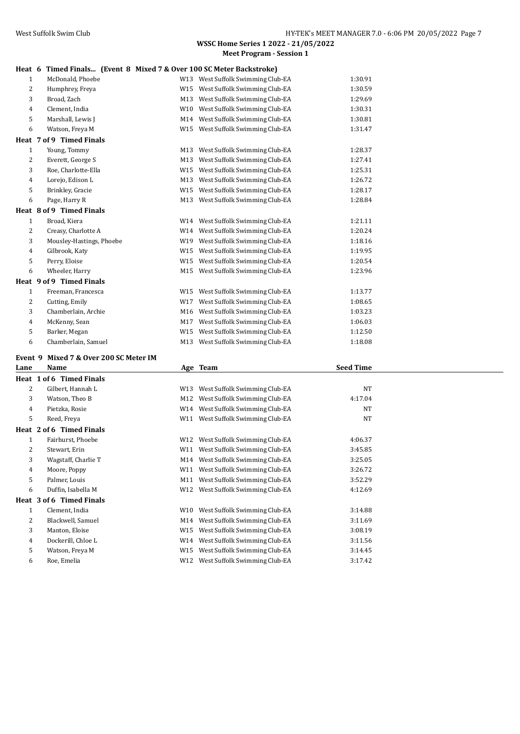#### **Heat 6 Timed Finals... (Event 8 Mixed 7 & Over 100 SC Meter Backstroke)**

| IItal U        | THE PRODUCE THE PRODUCE THE PRODUCE THE PARTICLE IS NOT THE PARTICLE TO DETERMINE |     |                                   |         |
|----------------|-----------------------------------------------------------------------------------|-----|-----------------------------------|---------|
| $\mathbf{1}$   | McDonald, Phoebe                                                                  |     | W13 West Suffolk Swimming Club-EA | 1:30.91 |
| 2              | Humphrey, Freya                                                                   |     | W15 West Suffolk Swimming Club-EA | 1:30.59 |
| 3              | Broad, Zach                                                                       |     | M13 West Suffolk Swimming Club-EA | 1:29.69 |
| $\overline{4}$ | Clement, India                                                                    |     | W10 West Suffolk Swimming Club-EA | 1:30.31 |
| 5              | Marshall, Lewis J                                                                 |     | M14 West Suffolk Swimming Club-EA | 1:30.81 |
| 6              | Watson, Freya M                                                                   |     | W15 West Suffolk Swimming Club-EA | 1:31.47 |
|                | Heat 7 of 9 Timed Finals                                                          |     |                                   |         |
| $\mathbf{1}$   | Young, Tommy                                                                      |     | M13 West Suffolk Swimming Club-EA | 1:28.37 |
| 2              | Everett, George S                                                                 |     | M13 West Suffolk Swimming Club-EA | 1:27.41 |
| 3              | Roe, Charlotte-Ella                                                               |     | W15 West Suffolk Swimming Club-EA | 1:25.31 |
| $\overline{4}$ | Lorejo, Edison L                                                                  |     | M13 West Suffolk Swimming Club-EA | 1:26.72 |
| 5              | Brinkley, Gracie                                                                  |     | W15 West Suffolk Swimming Club-EA | 1:28.17 |
| 6              | Page, Harry R                                                                     |     | M13 West Suffolk Swimming Club-EA | 1:28.84 |
|                | Heat 8 of 9 Timed Finals                                                          |     |                                   |         |
| $\mathbf{1}$   | Broad, Kiera                                                                      |     | W14 West Suffolk Swimming Club-EA | 1:21.11 |
| 2              | Creasy, Charlotte A                                                               |     | W14 West Suffolk Swimming Club-EA | 1:20.24 |
| 3              | Mousley-Hastings, Phoebe                                                          |     | W19 West Suffolk Swimming Club-EA | 1:18.16 |
| $\overline{4}$ | Gilbrook, Katy                                                                    |     | W15 West Suffolk Swimming Club-EA | 1:19.95 |
| 5              | Perry, Eloise                                                                     |     | W15 West Suffolk Swimming Club-EA | 1:20.54 |
| 6              | Wheeler, Harry                                                                    |     | M15 West Suffolk Swimming Club-EA | 1:23.96 |
|                | Heat 9 of 9 Timed Finals                                                          |     |                                   |         |
| $\mathbf{1}$   | Freeman, Francesca                                                                |     | W15 West Suffolk Swimming Club-EA | 1:13.77 |
| 2              | Cutting, Emily                                                                    | W17 | West Suffolk Swimming Club-EA     | 1:08.65 |
| 3              | Chamberlain, Archie                                                               |     | M16 West Suffolk Swimming Club-EA | 1:03.23 |
| $\overline{4}$ | McKenny, Sean                                                                     |     | M17 West Suffolk Swimming Club-EA | 1:06.03 |
| 5              | Barker, Megan                                                                     |     | W15 West Suffolk Swimming Club-EA | 1:12.50 |
| 6              | Chamberlain, Samuel                                                               |     | M13 West Suffolk Swimming Club-EA | 1:18.08 |
|                |                                                                                   |     |                                   |         |

## **Event 9 Mixed 7 & Over 200 SC Meter IM**

| Lane | Name                     |     | Age Team                          | <b>Seed Time</b> |  |
|------|--------------------------|-----|-----------------------------------|------------------|--|
|      | Heat 1 of 6 Timed Finals |     |                                   |                  |  |
| 2    | Gilbert, Hannah L        | W13 | West Suffolk Swimming Club-EA     | <b>NT</b>        |  |
| 3    | Watson, Theo B           | M12 | West Suffolk Swimming Club-EA     | 4:17.04          |  |
| 4    | Pietzka, Rosie           |     | W14 West Suffolk Swimming Club-EA | <b>NT</b>        |  |
| 5    | Reed, Freya              | W11 | West Suffolk Swimming Club-EA     | <b>NT</b>        |  |
| Heat | 2 of 6 Timed Finals      |     |                                   |                  |  |
| 1    | Fairhurst, Phoebe        | W12 | West Suffolk Swimming Club-EA     | 4:06.37          |  |
| 2    | Stewart, Erin            | W11 | West Suffolk Swimming Club-EA     | 3:45.85          |  |
| 3    | Wagstaff, Charlie T      | M14 | West Suffolk Swimming Club-EA     | 3:25.05          |  |
| 4    | Moore, Poppy             | W11 | West Suffolk Swimming Club-EA     | 3:26.72          |  |
| 5    | Palmer, Louis            | M11 | West Suffolk Swimming Club-EA     | 3:52.29          |  |
| 6    | Duffin, Isabella M       | W12 | West Suffolk Swimming Club-EA     | 4:12.69          |  |
|      | Heat 3 of 6 Timed Finals |     |                                   |                  |  |
| 1    | Clement, India           | W10 | West Suffolk Swimming Club-EA     | 3:14.88          |  |
| 2    | Blackwell, Samuel        | M14 | West Suffolk Swimming Club-EA     | 3:11.69          |  |
| 3    | Manton, Eloise           | W15 | West Suffolk Swimming Club-EA     | 3:08.19          |  |
| 4    | Dockerill, Chloe L       | W14 | West Suffolk Swimming Club-EA     | 3:11.56          |  |
| 5    | Watson, Freya M          | W15 | West Suffolk Swimming Club-EA     | 3:14.45          |  |
| 6    | Roe, Emelia              | W12 | West Suffolk Swimming Club-EA     | 3:17.42          |  |